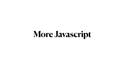# **More Javascript**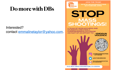## **Do more with DBs**

## Interested? contact [emmalinetaylor@yahoo.com.](mailto:emmalinetaylor@yahoo.com)



**JOIN THE TEAM!** WWW.MASSSHOOTING **DATABASE.ORG** 

## STOP MASS SHOOTINGS!

**EAM OF RESEARCHERS AND CREATING A HENSIVE DATABASE** AS PART OF AN EFFORT TO



**#ENDGUN** 

**VIOLENCE** 

- @THEMASSSHOOTING **DATABASE**
- **@DATABASEMASS**

**ETAYLOR@MASSSHOOTING** DATABASE.ORG

**P.O. BOX 5843 ARLINGTON, VA 22205**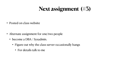# **Next assignment (#3)**

• Posted on class website

- Alternate assignment for one/two people
	- become a DBA / Sysadmin.
		- Figure out why the class server occasionally hangs
			- For details talk to me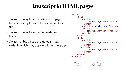# **Javascript in HTML pages**

- Javascript may be either directly in page between <script></script> or in an included file
- Javascript may be either in header or in body
- Javascript blocks are evaluated strictly in order in which they appear within html page

<html> <head> <script> console.log("hello head 1");  $script $>$$  <script src="sim.js"></script> <script> console.log("hello head 2");  $script $>$$  </head> <body> <script> console.log("hello body 1");  $script $>$$  <script> console.log("hello body 2");  $script $>$$  </body>  $\langle$ html $\rangle$ 

> <https://cs.brynmawr.edu/~gtowell/383/js1.html> <https://cs.brynmawr.edu/~gtowell/383/sim.js>

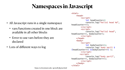# **Namespaces in Javascript**

<html>

<head>

<script>

let headCounter=1

- All Javascript runs in a single namespace
	- vars/functions created in one block are available in all other blocks
	- Error to use vars before they are declared
- Lots of different ways to  $log$



```
headCounter++);
        \langle script> <script>
              console.log("hello2 head", 
headCounter++, bodyCounter);
         </script>
     </head>
    <body> <script>
              let bodyCounter=1;
              console.log(`body part1 $
\{headCounter++\} $\{bodyCounter++\};
        </script> <script>
              console.log("body part2", 
headCounter++, bodyCounter++);
        \langle script> </body>
```
</html>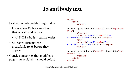# **JS and body text**

- Evaluation order in html page redux
	- It is not just JS, but everything that is evaluated in order.
		- All DOM is built in textual order
	- So, pages elements are unavailable to JS before they appear
- Conclusion: any JS that modifies a page -- immediately -- should be last

<html> <body> <script> document.querySelector("#span1").text="replaceme nt 1"; </script> <span id="span1" style="fontsize:300%;color:red">Original 1</span>  $2<sub>b</sub>r/$  <span id="span2" style="fontsize:400%;color:blue">Original 2</span> <script> document.querySelector("#span2").innerHTML="repl acement 2"; </script> </body> </html>





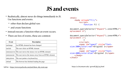## **JS and events**

- Realistically, almost never do things immediately in JS. Use functions and events.
	- other than declare global vars
	- and create functions
- instead execute a function when an event occurs.
- There are lots of events, these are common

```
<html>
    <body onload="f();">
         <script>
             function f() {
document.querySelector("#span1").innerHTML="r
eplacement b";
document.querySelector("#span2").innerHTML="r
eplacement c";
 }
         </script>
         <span id="span1" style="font-
size:300%;color:red">Original 1</span>
        \text{dr/s} <span id="span2" style="font-
size:400%;color:blue">Original 2</span>
    </body>
</html>
```

| Event             | <b>Description</b>                                        |
|-------------------|-----------------------------------------------------------|
| $ $ onchange      | An HTML element has been changed                          |
| $ $ onclick       | The user clicks an HTML element                           |
|                   | onmouseover The user moves the mouse over an HTML element |
| <b>onmouseout</b> | The user moves the mouse away from an HTML element        |
| $ $ onkeydown     | The user pushes a keyboard key                            |
| lonload           | The browser has finished loading the page                 |

#### full list = [https://www.w3schools.com/jsref/dom\\_obj\\_event.asp](https://www.w3schools.com/jsref/dom_obj_event.asp) https://cs.brynmawr.edu/~gtowell/383/js4.html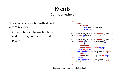- The can be associated with almost any html element
	- Often this is a mistake, but it can make for very interactive html pages



## **Events Can be anywhere**

```
<html>
     <body>
         <script>
            let hoverCount=1;
             function g() {
document.querySelector("#span1").innerH
TML=`first ${hoverCount++}`
;
document.querySelector("#span2").innerH
TML=`second ${('c'+hoverCount++)}`
;
 }
        </script>
         <span onmouseover="g();"
id="span1" style="font-
size:300%;color:red">Original 1</span>
        <br/>- <span onclick="g();" id="span2"
style="font-
size:400%;color:blue">Original 2</span>
     </body>
</html>
```
https://cs.brynmawr.edu/~gtowell/383/js5.html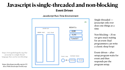https://www.geeksforgeeks.org/whyjavascript-is-a-single-threadlanguage-that-can-be-non-blocking/

https://developer.mozilla.org/en-US/ docs/Web/JavaScript/EventLoop



Event-driven  $=$  after setup program waits for event and then responds per the program setup.

Single threaded == javascript only ever does one things at a time



## **Javascript is single-threaded and non-blocking Event Driven**

### JavaScript Run-Time Environment

| JavaScript  |            |  |
|-------------|------------|--|
| MEMORY HEAP | Call Stack |  |
|             |            |  |
|             |            |  |
|             |            |  |
|             |            |  |
|             |            |  |
|             |            |  |
|             |            |  |

Non-blocking = JS ne ver gets stuck waiting for an event (bad programmers can write a classic sleep loop)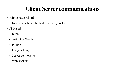# **Client-Server communications**

- Whole page reload
	- forms (which can be built on the fly in JS)
- JS based
	- fetch
- Continuing Needs
	- Polling
	- Long Polling
	- Server sent events
	- Web sockets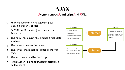

- 1. An event occurs in a web page (the page is loaded, a button is clicked)
- 2. An XMLHttpRequest object is created by JavaScript
- 3. The XMLHttpRequest object sends a request to a web server
- 4. The server processes the request
- 5. The server sends a response back to the web page
- 6. The response is read by JavaScript
- Proper action (like page update) is performed by JavaScript



### *A***synchronous** *J***avaScript** *A***nd** *X***ML.**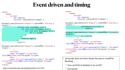# **Event driven and timing**



<https://cs.brynmawr.edu/~gtowell/383/js6.html> and js7.html  $\bullet$  DO NOT!!!

- Javascript does not have sleep() because it would be blocking,
	- You can kind of simulate it (as at left)
	-

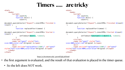## **Timers ..... are tricky**

```
<html>
     <body>
         <script>
             let count=0;
             function doit() {
                 count++;
document.querySelector("#span2").innerHTML=`Finished $
{count}`;
 }
             function replaceAfter(timeee) {
document.querySelector("#span1").innerHTML=`Started $
{count}`;
                setTimeout(doit(), timeee);
 }
         </script>
         <span id="span1" style="font-
size:300%;color:red">Original 1</span>
        \text{dr/s} <span onclick="replaceAfter(1500);" id="span2"
style="font-size:400%;color:blue">Original 2</span>
     </body>
</html>
```

```
<html>
     <body>
         <script>
             let count=0;
             function doit() {
                 count++;
document.querySelector("#span2").innerHTML=`Finished ${count}
`;
 }
             function replaceAfter(timeee) {
document.querySelector("#span1").innerHTML=`Started ${count}
\ddot{ }setTimeout(function() { doit() }, timeee);
 }
         </script>
         <span id="span1" style="font-
size:300%;color:red">Original 1</span>
        <br/>- <span onclick="replaceAfter(1500);" id="span2"
style="font-size:400%;color:blue">Original 2</span>
     </body>
</html>
```
• the first argument is evaluated, and the result of that evaluation is placed in the timer queue.



<https://cs.brynmawr.edu/~gtowell/383/js8.html>

- - So the left does NOT work.